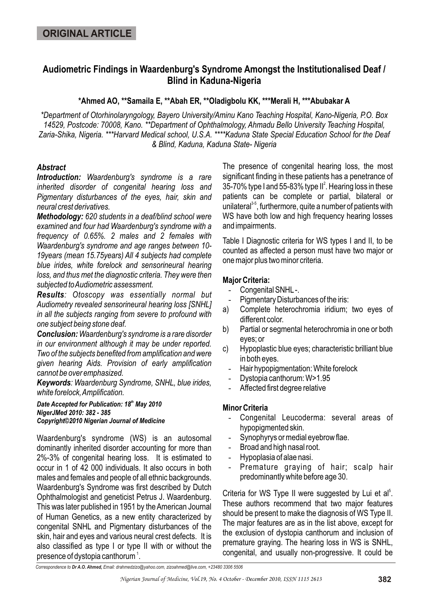# **Audiometric Findings in Waardenburg's Syndrome Amongst the Institutionalised Deaf / Blind in Kaduna-Nigeria**

**\*Ahmed AO, \*\*Samaila E, \*\*Abah ER, \*\*Oladigbolu KK, \*\*\*Merali H, \*\*\*Abubakar A**

*\*Department of Otorhinolaryngology, Bayero University/Aminu Kano Teaching Hospital, Kano-Nigeria, P.O. Box 14529, Postcode: 70008, Kano. \*\*Department of Ophthalmology, Ahmadu Bello University Teaching Hospital, Zaria-Shika, Nigeria. \*\*\*Harvard Medical school, U.S.A. \*\*\*\*Kaduna State Special Education School for the Deaf & Blind, Kaduna, Kaduna State- Nigeria*

## *Abstract*

*Introduction: Waardenburg's syndrome is a rare inherited disorder of congenital hearing loss and Pigmentary disturbances of the eyes, hair, skin and neural crest derivatives.* 

*Methodology: 620 students in a deaf/blind school were examined and four had Waardenburg's syndrome with a frequency of 0.65%. 2 males and 2 females with Waardenburg's syndrome and age ranges between 10- 19years (mean 15.75years) All 4 subjects had complete blue irides, white forelock and sensorineural hearing loss, and thus met the diagnostic criteria. They were then subjected to Audiometric assessment.*

*Results: Otoscopy was essentially normal but Audiometry revealed sensorineural hearing loss [SNHL] in all the subjects ranging from severe to profound with one subject being stone deaf.*

*Conclusion: Waardenburg's syndrome is a rare disorder in our environment although it may be under reported. Two of the subjects benefited from amplification and were given hearing Aids. Provision of early amplification cannot be over emphasized.*

*Keywords: Waardenburg Syndrome, SNHL, blue irides, white forelock, Amplification.* 

Date Accepted for Publication: 18<sup>th</sup> May 2010 *NigerJMed 2010: 382 - 385 Copyright©2010 Nigerian Journal of Medicine*

Waardenburg's syndrome (WS) is an autosomal dominantly inherited disorder accounting for more than 2%-3% of congenital hearing loss. It is estimated to occur in 1 of 42 000 individuals. It also occurs in both males and females and people of all ethnic backgrounds. Waardenburg's Syndrome was first described by Dutch Ophthalmologist and geneticist Petrus J. Waardenburg. This was later published in 1951 by the American Journal of Human Genetics, as a new entity characterized by congenital SNHL and Pigmentary disturbances of the skin, hair and eyes and various neural crest defects. It is also classified as type I or type II with or without the presence of dystopia canthorum  $^{\textrm{\texttt{1}}}.$ 

The presence of congenital hearing loss, the most significant finding in these patients has a penetrance of 35-70% type I and 55-83% type II $^2$ . Hearing loss in these patients can be complete or partial, bilateral or unilateral $3-5$ , furthermore, quite a number of patients with WS have both low and high frequency hearing losses and impairments.

Table I Diagnostic criteria for WS types I and II, to be counted as affected a person must have two major or one major plus two minor criteria.

### **Major Criteria:**

- Congenital SNHL -.
- Pigmentary Disturbances of the iris:
- a) Complete heterochromia iridium; two eyes of different color.
- b) Partial or segmental heterochromia in one or both eyes; or
- c) Hypoplastic blue eyes; characteristic brilliant blue in both eyes.
	- Hair hypopigmentation: White forelock
	- Dystopia canthorum: W>1.95
	- Affected first degree relative

### **Minor Criteria**

- Congenital Leucoderma: several areas of hypopigmented skin.
- Synophyrys or medial eyebrow flae.
- Broad and high nasal root.
- Hypoplasia of alae nasi.
- Premature graying of hair; scalp hair predominantly white before age 30.

Criteria for WS Type II were suggested by Lui et al<sup>5</sup>. These authors recommend that two major features should be present to make the diagnosis of WS Type II. The major features are as in the list above, except for the exclusion of dystopia canthorum and inclusion of premature graying. The hearing loss in WS is SNHL, congenital, and usually non-progressive. It could be

*Correspondence to Dr A.O. Ahmed, Email: drahmedzizo@yahoo.com, zizoahmed@live.com, +23480 3306 5506*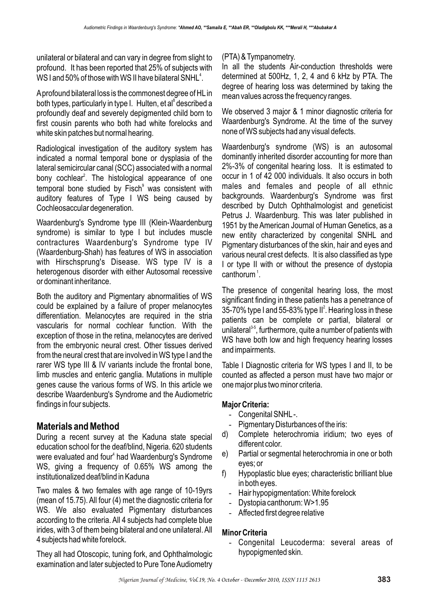unilateral or bilateral and can vary in degree from slight to profound. It has been reported that 25% of subjects with WS I and 50% of those with WS II have bilateral SNHI $^4$ .

A profound bilateral loss is the commonest degree of HL in both types, particularly in type I. Hulten, et al<sup>8</sup> described a profoundly deaf and severely depigmented child born to first cousin parents who both had white forelocks and white skin patches but normal hearing.

Radiological investigation of the auditory system has indicated a normal temporal bone or dysplasia of the lateral semicircular canal (SCC) associated with a normal bony cochlear<sup>2</sup>. The histological appearance of one temporal bone studied by Fisch<sup>9</sup> was consistent with auditory features of Type I WS being caused by Cochleosaccular degeneration.

Waardenburg's Syndrome type III (Klein-Waardenburg syndrome) is similar to type I but includes muscle contractures Waardenburg's Syndrome type IV (Waardenburg-Shah) has features of WS in association with Hirschsprung's Disease. WS type IV is a heterogenous disorder with either Autosomal recessive or dominant inheritance.

Both the auditory and Pigmentary abnormalities of WS could be explained by a failure of proper melanocytes differentiation. Melanocytes are required in the stria vascularis for normal cochlear function. With the exception of those in the retina, melanocytes are derived from the embryonic neural crest. Other tissues derived from the neural crest that are involved in WS type I and the rarer WS type III & IV variants include the frontal bone, limb muscles and enteric ganglia. Mutations in multiple genes cause the various forms of WS. In this article we describe Waardenburg's Syndrome and the Audiometric findings in four subjects.

# **Materials and Method**

During a recent survey at the Kaduna state special education school for the deaf/blind, Nigeria. 620 students were evaluated and four<sup>4</sup> had Waardenburg's Syndrome WS, giving a frequency of 0.65% WS among the institutionalized deaf/blind in Kaduna

Two males & two females with age range of 10-19yrs (mean of 15.75). All four (4) met the diagnostic criteria for WS. We also evaluated Pigmentary disturbances according to the criteria. All 4 subjects had complete blue irides, with 3 of them being bilateral and one unilateral. All 4 subjects had white forelock.

They all had Otoscopic, tuning fork, and Ophthalmologic examination and later subjected to Pure Tone Audiometry

### (PTA) & Tympanometry.

In all the students Air-conduction thresholds were determined at 500Hz, 1, 2, 4 and 6 kHz by PTA. The degree of hearing loss was determined by taking the mean values across the frequency ranges.

We observed 3 major & 1 minor diagnostic criteria for Waardenburg's Syndrome. At the time of the survey none of WS subjects had any visual defects.

Waardenburg's syndrome (WS) is an autosomal dominantly inherited disorder accounting for more than 2%-3% of congenital hearing loss. It is estimated to occur in 1 of 42 000 individuals. It also occurs in both males and females and people of all ethnic backgrounds. Waardenburg's Syndrome was first described by Dutch Ophthalmologist and geneticist Petrus J. Waardenburg. This was later published in 1951 by the American Journal of Human Genetics, as a new entity characterized by congenital SNHL and Pigmentary disturbances of the skin, hair and eyes and various neural crest defects. It is also classified as type I or type II with or without the presence of dystopia canthorum $^1$ .

The presence of congenital hearing loss, the most significant finding in these patients has a penetrance of 35-70% type I and 55-83% type II $^2$ . Hearing loss in these patients can be complete or partial, bilateral or  $\mu$ inilateral<sup>3-5</sup>, furthermore, quite a number of patients with WS have both low and high frequency hearing losses and impairments.

Table I Diagnostic criteria for WS types I and II, to be counted as affected a person must have two major or one major plus two minor criteria.

### **Major Criteria:**

- Congenital SNHL-.
- Pigmentary Disturbances of the iris:
- d) Complete heterochromia iridium; two eyes of different color.
- e) Partial or segmental heterochromia in one or both eyes; or
- f) Hypoplastic blue eyes; characteristic brilliant blue in both eyes.
	- Hair hypopigmentation: White forelock
	- Dystopia canthorum: W>1.95
	- Affected first degree relative

### **Minor Criteria**

- Congenital Leucoderma: several areas of hypopigmented skin.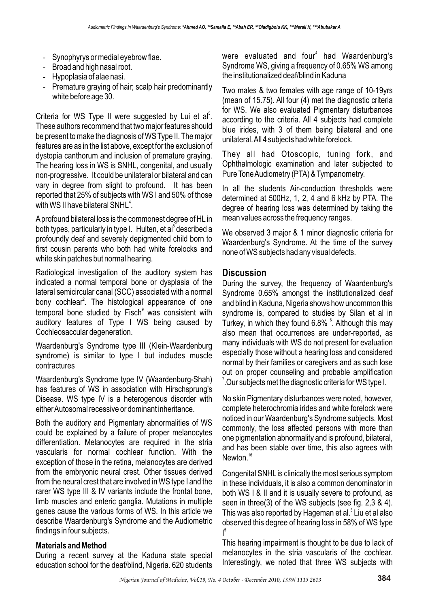- Synophyrys or medial eyebrow flae.
- Broad and high nasal root.
- Hypoplasia of alae nasi.
- Premature graying of hair; scalp hair predominantly white before age 30.

Criteria for WS Type II were suggested by Lui et al<sup>5</sup>. These authors recommend that two major features should be present to make the diagnosis of WS Type II. The major features are as in the list above, except for the exclusion of dystopia canthorum and inclusion of premature graying. The hearing loss in WS is SNHL, congenital, and usually non-progressive. It could be unilateral or bilateral and can vary in degree from slight to profound. It has been reported that 25% of subjects with WS I and 50% of those with WS II have bilateral SNHL $^{\rm 4}.$ 

A profound bilateral loss is the commonest degree of HL in both types, particularly in type I. Hulten, et al<sup>8</sup> described a profoundly deaf and severely depigmented child born to first cousin parents who both had white forelocks and white skin patches but normal hearing.

Radiological investigation of the auditory system has indicated a normal temporal bone or dysplasia of the lateral semicircular canal (SCC) associated with a normal bony cochlear<sup>2</sup>. The histological appearance of one temporal bone studied by Fisch<sup>9</sup> was consistent with auditory features of Type I WS being caused by Cochleosaccular degeneration.

Waardenburg's Syndrome type III (Klein-Waardenburg syndrome) is similar to type I but includes muscle contractures

Waardenburg's Syndrome type IV (Waardenburg-Shah) has features of WS in association with Hirschsprung's Disease. WS type IV is a heterogenous disorder with either Autosomal recessive or dominant inheritance.

Both the auditory and Pigmentary abnormalities of WS could be explained by a failure of proper melanocytes differentiation. Melanocytes are required in the stria vascularis for normal cochlear function. With the exception of those in the retina, melanocytes are derived from the embryonic neural crest. Other tissues derived from the neural crest that are involved in WS type I and the rarer WS type III & IV variants include the frontal bone, limb muscles and enteric ganglia. Mutations in multiple genes cause the various forms of WS. In this article we describe Waardenburg's Syndrome and the Audiometric findings in four subjects.

#### **Materials and Method**

During a recent survey at the Kaduna state special education school for the deaf/blind, Nigeria. 620 students

were evaluated and four<sup>4</sup> had Waardenburg's Syndrome WS, giving a frequency of 0.65% WS among the institutionalized deaf/blind in Kaduna

Two males & two females with age range of 10-19yrs (mean of 15.75). All four (4) met the diagnostic criteria for WS. We also evaluated Pigmentary disturbances according to the criteria. All 4 subjects had complete blue irides, with 3 of them being bilateral and one unilateral. All 4 subjects had white forelock.

They all had Otoscopic, tuning fork, and Ophthalmologic examination and later subjected to Pure Tone Audiometry (PTA) & Tympanometry.

In all the students Air-conduction thresholds were determined at 500Hz, 1, 2, 4 and 6 kHz by PTA. The degree of hearing loss was determined by taking the mean values across the frequency ranges.

We observed 3 major & 1 minor diagnostic criteria for Waardenburg's Syndrome. At the time of the survey none of WS subjects had any visual defects.

## **Discussion**

During the survey, the frequency of Waardenburg's Syndrome 0.65% amongst the institutionalized deaf and blind in Kaduna, Nigeria shows how uncommon this syndrome is, compared to studies by Silan et al in Turkey, in which they found 6.8% °. Although this may also mean that occurrences are under-reported, as many individuals with WS do not present for evaluation especially those without a hearing loss and considered normal by their families or caregivers and as such lose out on proper counseling and probable amplification  $^7$ .Our subjects met the diagnostic criteria for WS type I.

No skin Pigmentary disturbances were noted, however, complete heterochromia irides and white forelock were noticed in our Waardenburg's Syndrome subjects. Most commonly, the loss affected persons with more than one pigmentation abnormality and is profound, bilateral, and has been stable over time, this also agrees with Newton.<sup>16</sup>

Congenital SNHL is clinically the most serious symptom in these individuals, it is also a common denominator in both WS I & II and it is usually severe to profound, as seen in three(3) of the WS subjects (see fig. 2,3 & 4). This was also reported by Hageman et al.<sup>3</sup> Liu et al also observed this degree of hearing loss in 58% of WS type  $\vert$ <sup>5</sup>

This hearing impairment is thought to be due to lack of melanocytes in the stria vascularis of the cochlear. Interestingly, we noted that three WS subjects with